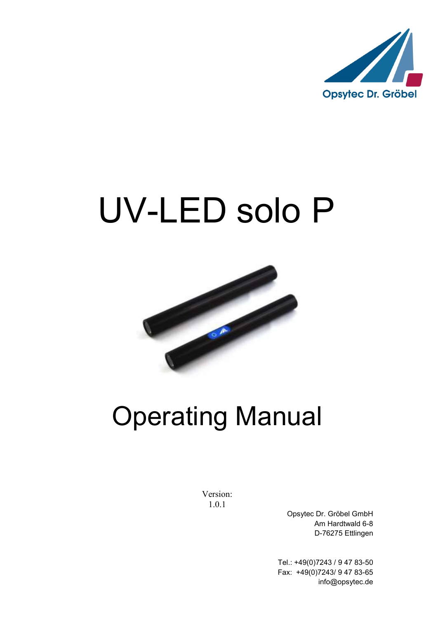

# UV-LED solo P



## Operating Manual

Version: 1.0.1

Opsytec Dr. Gröbel GmbH Am Hardtwald 6-8 D-76275 Ettlingen

Tel.: +49(0)7243 / 9 47 83-50 Fax: +49(0)7243/ 9 47 83-65 info@opsytec.de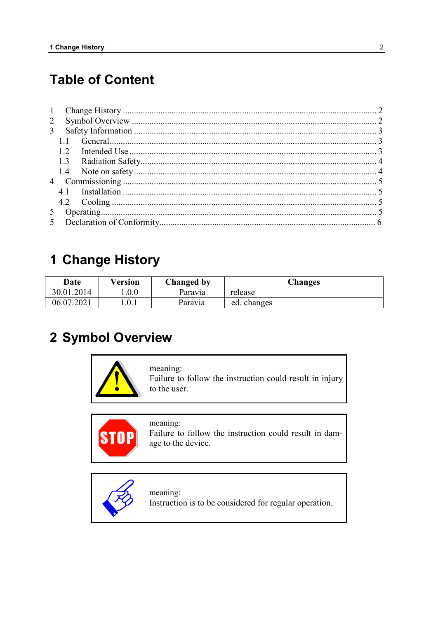## **Table of Content**

| 1              |     |  |  |  |
|----------------|-----|--|--|--|
| $\overline{2}$ |     |  |  |  |
| $\mathfrak{Z}$ |     |  |  |  |
|                |     |  |  |  |
|                | 1.2 |  |  |  |
|                |     |  |  |  |
|                |     |  |  |  |
|                |     |  |  |  |
|                |     |  |  |  |
|                |     |  |  |  |
|                |     |  |  |  |
|                |     |  |  |  |

## 1 Change History

| Date       | Version | Changed by | <b>Changes</b> |
|------------|---------|------------|----------------|
| 30.01.2014 | 0.0     | Paravia    | release        |
| 06.07.2021 | 1.0.1   | Paravia    | ed. changes    |

## 2 Symbol Overview



meaning: Failure to follow the instruction could result in injury to the user.



meaning: Failure to follow the instruction could result in damage to the device.



meaning: Instruction is to be considered for regular operation.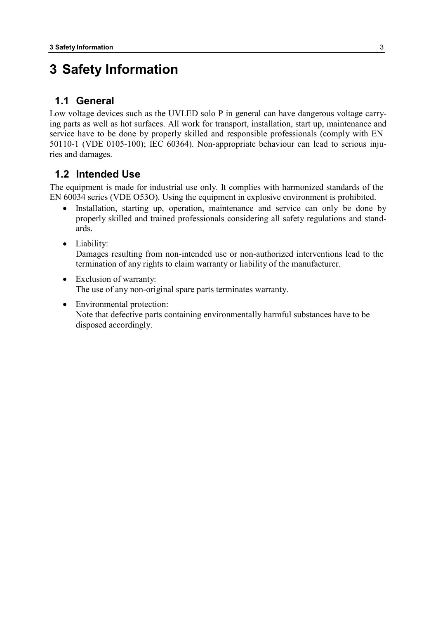## **3 Safety Information**

#### **1.1 General**

Low voltage devices such as the UVLED solo P in general can have dangerous voltage carrying parts as well as hot surfaces. All work for transport, installation, start up, maintenance and service have to be done by properly skilled and responsible professionals (comply with EN 50110-1 (VDE 0105-100); IEC 60364). Non-appropriate behaviour can lead to serious injuries and damages.

#### **1.2 Intended Use**

The equipment is made for industrial use only. It complies with harmonized standards of the EN 60034 series (VDE O53O). Using the equipment in explosive environment is prohibited.

- Installation, starting up, operation, maintenance and service can only be done by properly skilled and trained professionals considering all safety regulations and standards.
- Liability:

Damages resulting from non-intended use or non-authorized interventions lead to the termination of any rights to claim warranty or liability of the manufacturer.

- Exclusion of warranty: The use of any non-original spare parts terminates warranty.
- Environmental protection: Note that defective parts containing environmentally harmful substances have to be disposed accordingly.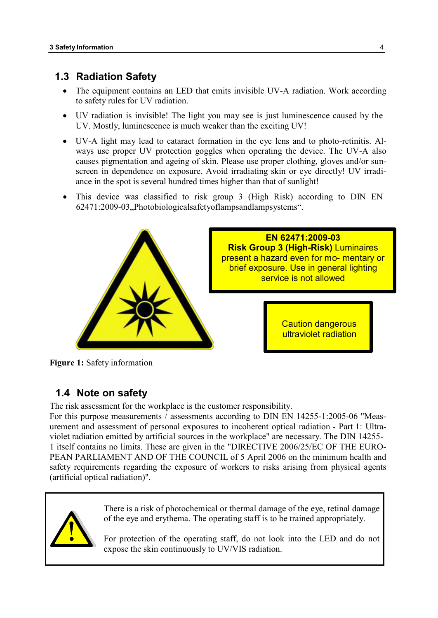#### **1.3 Radiation Safety**

- The equipment contains an LED that emits invisible UV-A radiation. Work according to safety rules for UV radiation.
- UV radiation is invisible! The light you may see is just luminescence caused by the UV. Mostly, luminescence is much weaker than the exciting UV!
- UV-A light may lead to cataract formation in the eye lens and to photo-retinitis. Always use proper UV protection goggles when operating the device. The UV-A also causes pigmentation and ageing of skin. Please use proper clothing, gloves and/or sunscreen in dependence on exposure. Avoid irradiating skin or eye directly! UV irradiance in the spot is several hundred times higher than that of sunlight!
- This device was classified to risk group 3 (High Risk) according to DIN EN 62471:2009-03, Photobiologicalsafetyoflampsandlampsystems".



**Figure 1:** Safety information

### **1.4 Note on safety**

The risk assessment for the workplace is the customer responsibility.

For this purpose measurements / assessments according to DIN EN 14255-1:2005-06 "Measurement and assessment of personal exposures to incoherent optical radiation - Part 1: Ultraviolet radiation emitted by artificial sources in the workplace" are necessary. The DIN 14255- 1 itself contains no limits. These are given in the "DIRECTIVE 2006/25/EC OF THE EURO-PEAN PARLIAMENT AND OF THE COUNCIL of 5 April 2006 on the minimum health and safety requirements regarding the exposure of workers to risks arising from physical agents (artificial optical radiation)".



There is a risk of photochemical or thermal damage of the eye, retinal damage of the eye and erythema. The operating staff is to be trained appropriately.

For protection of the operating staff, do not look into the LED and do not expose the skin continuously to UV/VIS radiation.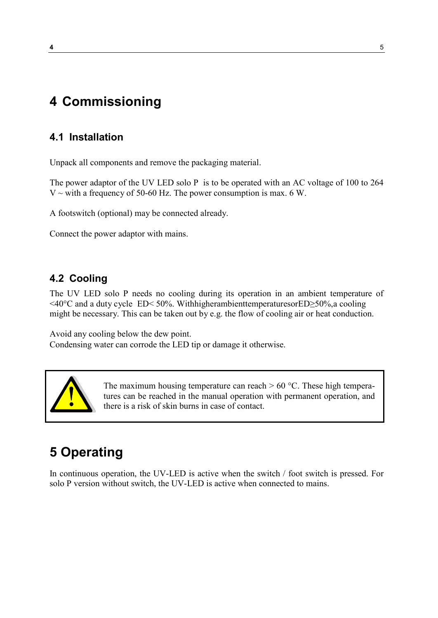## **4 Commissioning**

## **4.1 Installation**

Unpack all components and remove the packaging material.

The power adaptor of the UV LED solo P is to be operated with an AC voltage of 100 to 264  $V \sim$  with a frequency of 50-60 Hz. The power consumption is max. 6 W.

A footswitch (optional) may be connected already.

Connect the power adaptor with mains.

## **4.2 Cooling**

The UV LED solo P needs no cooling during its operation in an ambient temperature of <40°C and a duty cycle ED< 50%. WithhigherambienttemperaturesorED≥50%,a cooling might be necessary. This can be taken out by e.g. the flow of cooling air or heat conduction.

Avoid any cooling below the dew point. Condensing water can corrode the LED tip or damage it otherwise.



The maximum housing temperature can reach  $> 60$  °C. These high temperatures can be reached in the manual operation with permanent operation, and there is a risk of skin burns in case of contact.

## **5 Operating**

In continuous operation, the UV-LED is active when the switch / foot switch is pressed. For solo P version without switch, the UV-LED is active when connected to mains.